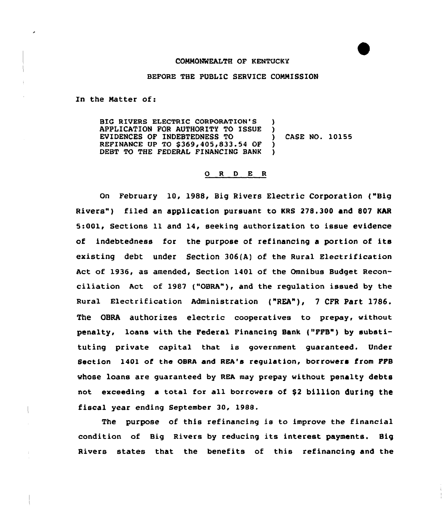## COMMONWEALTH OF KENTUCKY

## BEFORE THE PUBLIC SERVICE COMMISSION

In the Natter of:

BIG RIVERS ELECTRIC CORPORATION'S APPLICATION FOR AUTHORITY TO ISSUE EVIDENCES OF INDEBTEDNESS TO REFINANCE UP TO \$369,405,833.54 OF DEBT TO THE FEDERAL FINANCING BANK  $\left\{ \begin{array}{c} 1 \\ 2 \end{array} \right\}$ ) CASE NO. 10155  $\lambda$ )

## 0 <sup>R</sup> <sup>D</sup> E <sup>R</sup>

On February 10, 1988, Big Rivers Electric Corporation ("Big Rivers") filed an application pursuant to KRS 278.300 and 807 KAR 5:001, Sections 11 and 14, seeking authorization to issue evidence of indebtedness for the purpose of refinancing a portion of its existing debt under Section 306{A) of the Rural Electrification Act of 1936, as amended, Section 1401 of the Omnibus Budget Reconciliation Act of 1987 ("OBRA"), and the regulation issued by the Rural Electrification Administration {"REA"), <sup>7</sup> cFR Part 1786. The OBRA authorizes electric cooperatives to prepay, without penalty, loans with the Federal Financing Bank ("FFB") by substituting private capital that is government guaranteed. Under Section 1401 of the OSRA and REA's regulation, borrowers from FFB whose loans are guaranteed by REA may prepay without penalty debts not exceeding a total for all borrowers of \$2 billion during the fiscal year ending September 30, 1988.

The purpose of this refinancing is to improve the financial condition of Big Rivers by reducing its interest payments. Big Rivers states that the benefits of this refinancing and the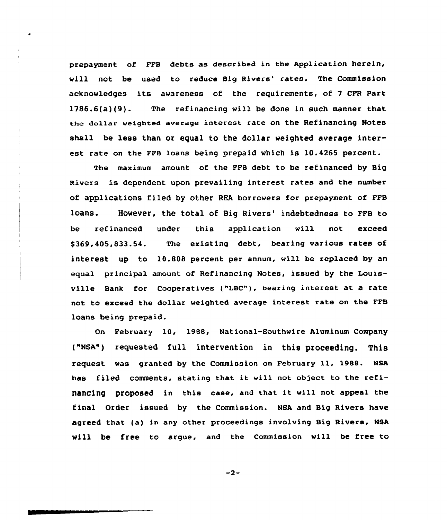prepayment of FFB debts as described in the Application herein, will not be used to reduce Big Rivers' rates. The Commission acknowledges its awareness of the requirements, of <sup>7</sup> CFR Part 1786.6(a)(9). The refinancing will be done in such manner that the dollar weighted average interest rate on the Refinancing Notes shall be less than or equal to the dollar weighted average interest rate on the FFB loans being prepaid which is 10.4265 percent.

The maximum amount of the FFB debt to be refinanced by Big Rivers is dependent upon prevailing interest rates and the number of applications filed by other REA borrowers for prepayment of FFB loans. However, the total of Big Rivers' indebtedness to FFB to be refinanced under this application will not exceed \$ 369,4QS,833.54. The existing debt, bearing various rates of interest up to 10.808 percent per annum, will be replaced by an equal principal amount of Refinancing Notes, issued by the Louisville Bank for Cooperatives ("IBC"}, bearing interest at a rate not to exceed the dollar weighted average interest rate on the FFB loans being prepaid.

On February 10, 1988, National-Southwire Aluminum Company ("NSA") requested full intervention in this proceeding. This request was granted by the Commission on February ll, 1988. NSA has filed comments, stating that it will not object to the refinancing proposed in this case, and that it will not appeal the final Order issued by the Commission. NSA and Big Rivers have agreed that (a} in any other proceedings involving Big Rivers, NSA will be free to argue, and the commission will be free to

 $-2-$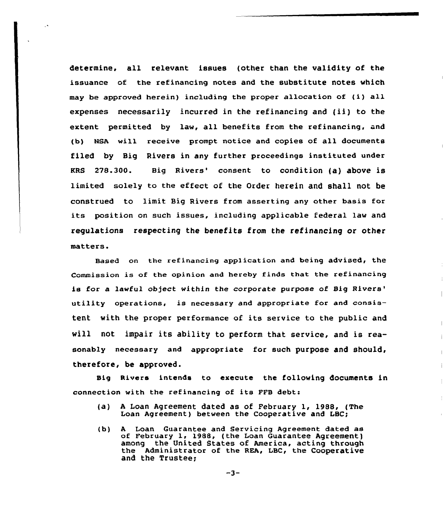determine, all relevant issues (other than the validity of the issuance of the refinancing notes and the substitute notes which may be approved herein) including the proper allocation of (i) all expenses necessarily incurred in the refinancing and (ii) to the extent permitted by law, all benefits from the refinancing, and (b) NSA will receive prompt notice and copies of all documents filed by Big Rivers in any further proceedings instituted under KRS 278.300. Big Rivers' consent to condition (a) above is limited solely to the effect of the order herein and shall not be construed to limit Big Rivers from asserting any other basis for its position on such issues, including applicable federal law and regulations respecting the benefits from the refinancing or other matters.

 $\ddot{\phantom{1}}$ 

Based on the refinancing application and being advised, the Commission is of the opinion and hereby finds that the refinancing is for a lawful object within the corporate purpose of Big Rivers' utility operations, is necessary and appropriate for and consistent with the proper performance of its service to the public and will not impair its ability to perform that service, and is reasonably necessary and appropriate for such purpose and should, therefore, be approved.

 $\overline{\phantom{a}}$ 

Big Rivers intends to execute the following documents in connection with the refinancing of its FFB debt:

- (a) <sup>A</sup> Loan Agreement dated as of February 1, 19SS, (The Loan Agreement) between the Cooperative and LBC;
- (b) <sup>A</sup> Loan Guarantee and Servicing Agreement dated as of February 1, 19ss, (the Loan Guarantee Agreement) among the United States of America, acting through the Administrator of the RRA, LBC, the Cooperative and the Trustee;

 $-3-$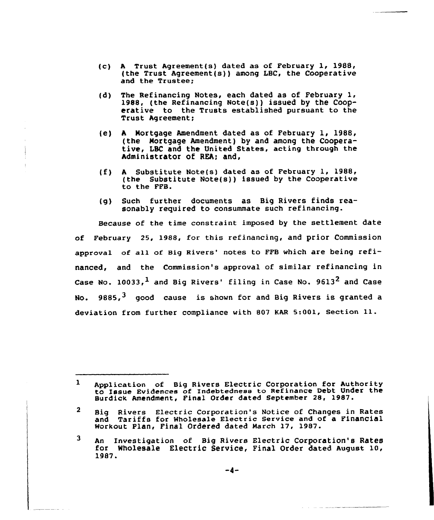- (c) <sup>A</sup> Trust Agreement(s) dated as of February 1, 1988, (the Trust Agreement(s)) among LBC, the Cooperative and the Trustee;
- (d) The Refinancing Notes, each dated as of February 1, 1988, (the Refinancing Note(s)) issued by the Cooperative to the Trusts established pursuant to the Trust Agreement;
- {e) <sup>A</sup> Nortgage Amendment dated as of February 1, 1988, (the Mortgage Amendment) by and among the Cooperative, LBC and the United States, acting through the Administrator of REA; and,
- (f) <sup>A</sup> Substitute Note(s) dated as of February 1, 1988, (the Substitute Note(s)) issued by the Cooperative to the FFB.
- {g) Such further documents as Big Rivers finds reasonably required to consummate such refinancing.

Because of the time constraint imposed by the settlement date of February 25, 1988, for this refinancing, and prior Commission approval of all of Big Rivers' notes to FFB which are being refinanced, and the Commission's approval of similar refinancing in Case No. 10033,  $<sup>1</sup>$  and Big Rivers' filing in Case No. 9613<sup>2</sup> and Case</sup> No.  $9885, <sup>3</sup>$  good cause is shown for and Big Rivers is granted a deviation from further compliance with <sup>807</sup> KAR 5:001, Section 11.

 $\mathbf{1}$ Application of Big Rivers Electric Corporation for Authority to Issue Evidences of Indebtedness to Refinance Debt Under the Surdick Amendment, Final Order dated September 28, 1987.

 $\mathbf{2}$ Big Rivers Electric Corporation's Notice of Changes in Rates and Tariffs for Wholesale Electric Service and of a Financial Workout Plan, Final Ordered dated March 17, 1987.

<sup>3</sup> An Investigation of Big Rivers Electric corporation's Rates for wholesale Electric Service, Final order dated August 10, 1987.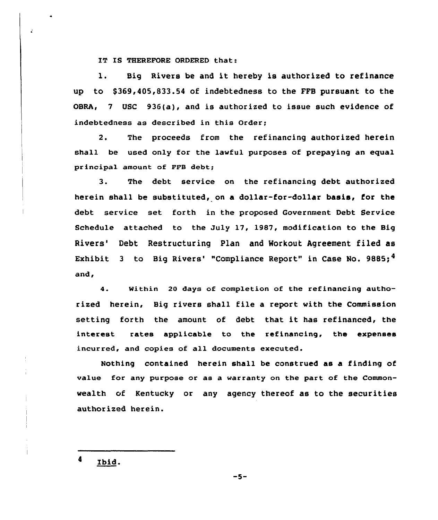IT IS THEREFORE ORDERED that:

 $\hat{\pmb{\cdot}}$ 

l. Big Rivers be and it hereby is authorized to refinance up to \$ 369,405,833.54 of indebtedness to the FFB pursuant to the OBRA, <sup>7</sup> USC 936(a), and is authorized to issue such evidence of indebtedness as described in this Order;

2. The proceeds from the refinancing authorized herein shall be used only for the lawful purposes of prepaying an equal principal amount of FFB debt;

3. The debt service on the refinancing debt authorized herein shall be substituted, on a dollar-for-dollar basis, for the debt service set forth in the proposed Government Debt Service Schedule attached to the July 17, 1987, modification to the Big Rivers' Debt Restructuring Plan and Workout Agreement filed as Exhibit 3 to Big Rivers' "Compliance Report" in Case No. 9885;  $4$ and,

4. Within 20 days of completion of the refinancing authorized herein, Big rivers shall file a report with the Commission setting forth the amount of debt that it has refinanced, the interest rates applicable to the refinancing, the expenses incurred, and copies of all documents executed.

Nothing contained herein shall be construed as a finding of value for any purpose or as a warranty on the part of the Commonwealth of Kentucky or any agency thereof as to the securities authorized herein.

Ibid.

 $-5-$